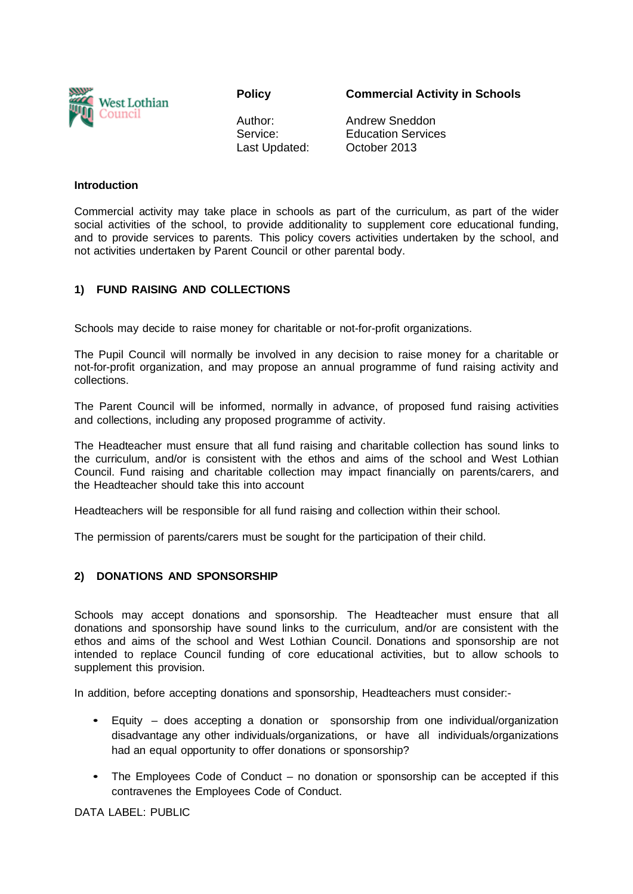

**Policy** 

**Commercial Activity in Schools** 

Author: Service: Last Updated: Andrew Sneddon Education Services October 2013

#### **Introduction**

Commercial activity may take place in schools as part of the curriculum, as part of the wider social activities of the school, to provide additionality to supplement core educational funding, and to provide services to parents. This policy covers activities undertaken by the school, and not activities undertaken by Parent Council or other parental body.

## **1) FUND RAISING AND COLLECTIONS**

Schools may decide to raise money for charitable or not-for-profit organizations.

The Pupil Council will normally be involved in any decision to raise money for a charitable or not-for-profit organization, and may propose an annual programme of fund raising activity and collections.

The Parent Council will be informed, normally in advance, of proposed fund raising activities and collections, including any proposed programme of activity.

The Headteacher must ensure that all fund raising and charitable collection has sound links to the curriculum, and/or is consistent with the ethos and aims of the school and West Lothian Council. Fund raising and charitable collection may impact financially on parents/carers, and the Headteacher should take this into account

Headteachers will be responsible for all fund raising and collection within their school.

The permission of parents/carers must be sought for the participation of their child.

### **2) DONATIONS AND SPONSORSHIP**

Schools may accept donations and sponsorship. The Headteacher must ensure that all donations and sponsorship have sound links to the curriculum, and/or are consistent with the ethos and aims of the school and West Lothian Council. Donations and sponsorship are not intended to replace Council funding of core educational activities, but to allow schools to supplement this provision.

In addition, before accepting donations and sponsorship, Headteachers must consider:-

- Equity does accepting a donation or sponsorship from one individual/organization disadvantage any other individuals/organizations, or have all individuals/organizations had an equal opportunity to offer donations or sponsorship?
- The Employees Code of Conduct no donation or sponsorship can be accepted if this contravenes the Employees Code of Conduct.

DATA LABEL: PUBLIC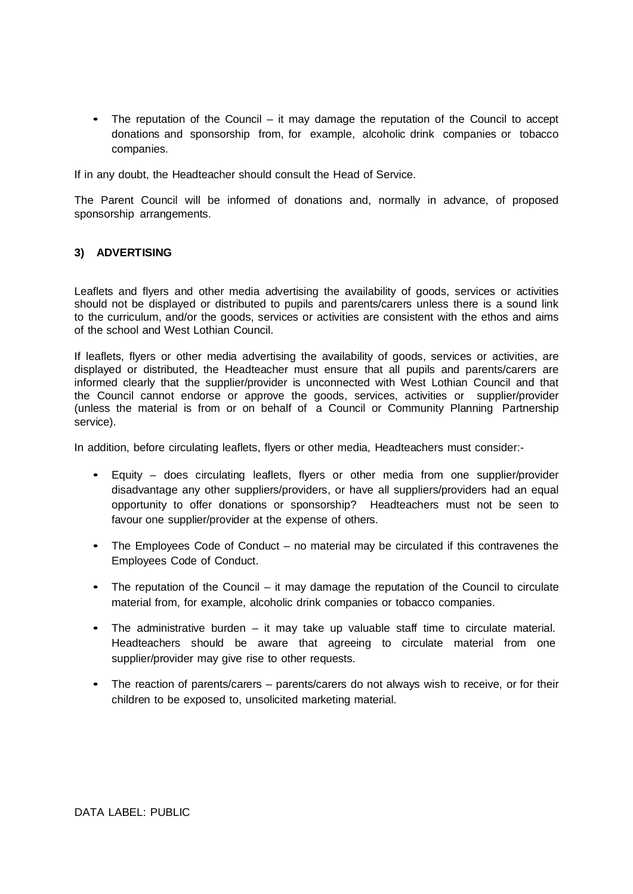• The reputation of the Council – it may damage the reputation of the Council to accept donations and sponsorship from, for example, alcoholic drink companies or tobacco companies.

If in any doubt, the Headteacher should consult the Head of Service.

The Parent Council will be informed of donations and, normally in advance, of proposed sponsorship arrangements.

## **3) ADVERTISING**

Leaflets and flyers and other media advertising the availability of goods, services or activities should not be displayed or distributed to pupils and parents/carers unless there is a sound link to the curriculum, and/or the goods, services or activities are consistent with the ethos and aims of the school and West Lothian Council.

If leaflets, flyers or other media advertising the availability of goods, services or activities, are displayed or distributed, the Headteacher must ensure that all pupils and parents/carers are informed clearly that the supplier/provider is unconnected with West Lothian Council and that the Council cannot endorse or approve the goods, services, activities or supplier/provider (unless the material is from or on behalf of a Council or Community Planning Partnership service).

In addition, before circulating leaflets, flyers or other media, Headteachers must consider:-

- Equity does circulating leaflets, flyers or other media from one supplier/provider disadvantage any other suppliers/providers, or have all suppliers/providers had an equal opportunity to offer donations or sponsorship? Headteachers must not be seen to favour one supplier/provider at the expense of others.
- The Employees Code of Conduct no material may be circulated if this contravenes the Employees Code of Conduct.
- The reputation of the Council it may damage the reputation of the Council to circulate material from, for example, alcoholic drink companies or tobacco companies.
- The administrative burden it may take up valuable staff time to circulate material. Headteachers should be aware that agreeing to circulate material from one supplier/provider may give rise to other requests.
- The reaction of parents/carers parents/carers do not always wish to receive, or for their children to be exposed to, unsolicited marketing material.